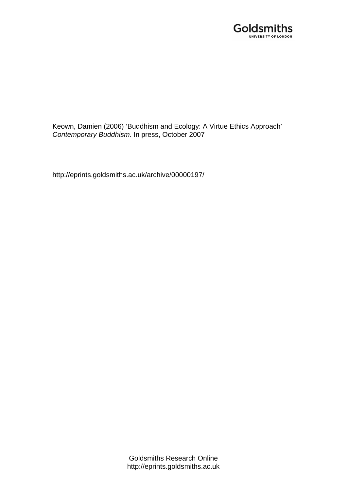

Keown, Damien (2006) 'Buddhism and Ecology: A Virtue Ethics Approach' *Contemporary Buddhism*. In press, October 2007

http://eprints.goldsmiths.ac.uk/archive/00000197/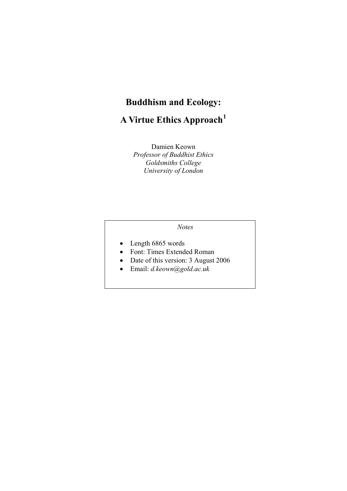# **Buddhism and Ecology:**

# **A Virtue Ethics Approach[1](#page-25-0)**

Damien Keown *Professor of Buddhist Ethics Goldsmiths College University of London* 

*Notes* 

- Length 6865 words
- Font: Times Extended Roman
- Date of this version: 3 August 2006
- Email: *d.keown@gold.ac.uk*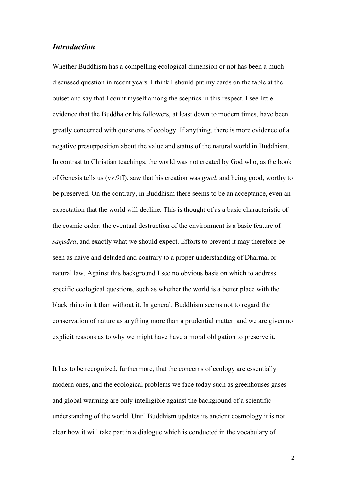### *Introduction*

Whether Buddhism has a compelling ecological dimension or not has been a much discussed question in recent years. I think I should put my cards on the table at the outset and say that I count myself among the sceptics in this respect. I see little evidence that the Buddha or his followers, at least down to modern times, have been greatly concerned with questions of ecology. If anything, there is more evidence of a negative presupposition about the value and status of the natural world in Buddhism. In contrast to Christian teachings, the world was not created by God who, as the book of Genesis tells us (vv.9ff), saw that his creation was *good*, and being good, worthy to be preserved. On the contrary, in Buddhism there seems to be an acceptance, even an expectation that the world will decline. This is thought of as a basic characteristic of the cosmic order: the eventual destruction of the environment is a basic feature of *saṃsāra*, and exactly what we should expect. Efforts to prevent it may therefore be seen as naive and deluded and contrary to a proper understanding of Dharma, or natural law. Against this background I see no obvious basis on which to address specific ecological questions, such as whether the world is a better place with the black rhino in it than without it. In general, Buddhism seems not to regard the conservation of nature as anything more than a prudential matter, and we are given no explicit reasons as to why we might have have a moral obligation to preserve it.

It has to be recognized, furthermore, that the concerns of ecology are essentially modern ones, and the ecological problems we face today such as greenhouses gases and global warming are only intelligible against the background of a scientific understanding of the world. Until Buddhism updates its ancient cosmology it is not clear how it will take part in a dialogue which is conducted in the vocabulary of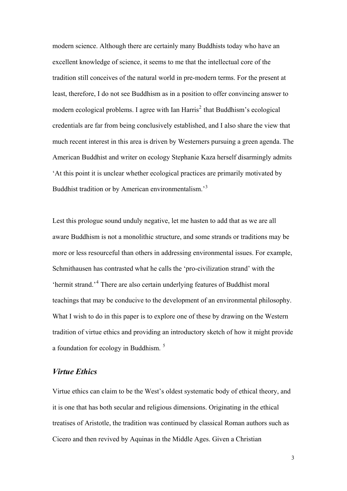modern science. Although there are certainly many Buddhists today who have an excellent knowledge of science, it seems to me that the intellectual core of the tradition still conceives of the natural world in pre-modern terms. For the present at least, therefore, I do not see Buddhism as in a position to offer convincing answer to modern ecological problems. I agree with Ian Harris<sup>[2](#page-25-1)</sup> that Buddhism's ecological credentials are far from being conclusively established, and I also share the view that much recent interest in this area is driven by Westerners pursuing a green agenda. The American Buddhist and writer on ecology Stephanie Kaza herself disarmingly admits 'At this point it is unclear whether ecological practices are primarily motivated by Buddhist tradition or by American environmentalism.<sup>[3](#page-25-1)</sup>

Lest this prologue sound unduly negative, let me hasten to add that as we are all aware Buddhism is not a monolithic structure, and some strands or traditions may be more or less resourceful than others in addressing environmental issues. For example, Schmithausen has contrasted what he calls the 'pro-civilization strand' with the 'hermit strand.'<sup>[4](#page-25-1)</sup> There are also certain underlying features of Buddhist moral teachings that may be conducive to the development of an environmental philosophy. What I wish to do in this paper is to explore one of these by drawing on the Western tradition of virtue ethics and providing an introductory sketch of how it might provide a foundation for ecology in Buddhism.<sup>[5](#page-25-1)</sup>

#### *Virtue Ethics*

Virtue ethics can claim to be the West's oldest systematic body of ethical theory, and it is one that has both secular and religious dimensions. Originating in the ethical treatises of Aristotle, the tradition was continued by classical Roman authors such as Cicero and then revived by Aquinas in the Middle Ages. Given a Christian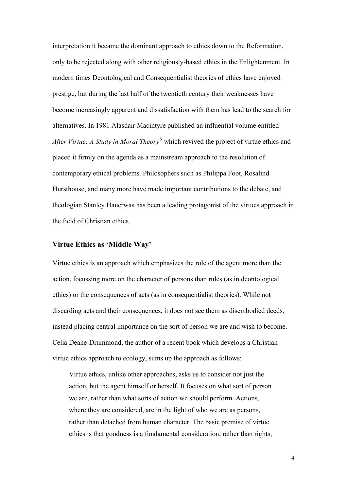interpretation it became the dominant approach to ethics down to the Reformation, only to be rejected along with other religiously-based ethics in the Enlightenment. In modern times Deontological and Consequentialist theories of ethics have enjoyed prestige, but during the last half of the twentieth century their weaknesses have become increasingly apparent and dissatisfaction with them has lead to the search for alternatives. In 1981 Alasdair Macintyre published an influential volume entitled After Virtue: A Study in Moral Theory<sup>[6](#page-25-1)</sup> which revived the project of virtue ethics and placed it firmly on the agenda as a mainstream approach to the resolution of contemporary ethical problems. Philosophers such as Philippa Foot, Rosalind Hursthouse, and many more have made important contributions to the debate, and theologian Stanley Hauerwas has been a leading protagonist of the virtues approach in the field of Christian ethics.

#### **Virtue Ethics as 'Middle Way'**

Virtue ethics is an approach which emphasizes the role of the agent more than the action, focussing more on the character of persons than rules (as in deontological ethics) or the consequences of acts (as in consequentialist theories). While not discarding acts and their consequences, it does not see them as disembodied deeds, instead placing central importance on the sort of person we are and wish to become. Celia Deane-Drummond, the author of a recent book which develops a Christian virtue ethics approach to ecology, sums up the approach as follows:

Virtue ethics, unlike other approaches, asks us to consider not just the action, but the agent himself or herself. It focuses on what sort of person we are, rather than what sorts of action we should perform. Actions, where they are considered, are in the light of who we are as persons, rather than detached from human character. The basic premise of virtue ethics is that goodness is a fundamental consideration, rather than rights,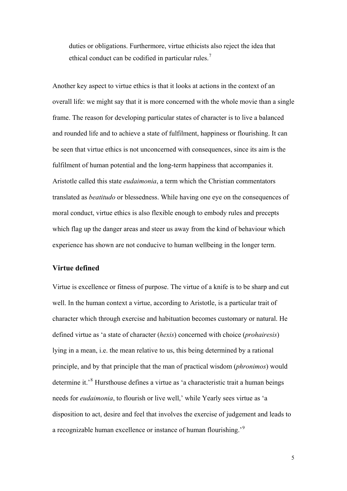duties or obligations. Furthermore, virtue ethicists also reject the idea that ethical conduct can be codified in particular rules.<sup>[7](#page-25-1)</sup>

Another key aspect to virtue ethics is that it looks at actions in the context of an overall life: we might say that it is more concerned with the whole movie than a single frame. The reason for developing particular states of character is to live a balanced and rounded life and to achieve a state of fulfilment, happiness or flourishing. It can be seen that virtue ethics is not unconcerned with consequences, since its aim is the fulfilment of human potential and the long-term happiness that accompanies it. Aristotle called this state *eudaimonia*, a term which the Christian commentators translated as *beatitudo* or blessedness. While having one eye on the consequences of moral conduct, virtue ethics is also flexible enough to embody rules and precepts which flag up the danger areas and steer us away from the kind of behaviour which experience has shown are not conducive to human wellbeing in the longer term.

#### **Virtue defined**

Virtue is excellence or fitness of purpose. The virtue of a knife is to be sharp and cut well. In the human context a virtue, according to Aristotle, is a particular trait of character which through exercise and habituation becomes customary or natural. He defined virtue as 'a state of character (*hexis*) concerned with choice (*prohairesis*) lying in a mean, i.e. the mean relative to us, this being determined by a rational principle, and by that principle that the man of practical wisdom (*phronimos*) would determine it.<sup>[8](#page-25-1)</sup> Hursthouse defines a virtue as 'a characteristic trait a human beings needs for *eudaimonia*, to flourish or live well,' while Yearly sees virtue as 'a disposition to act, desire and feel that involves the exercise of judgement and leads to a recognizable human excellence or instance of human flourishing.<sup>[9](#page-25-1)</sup>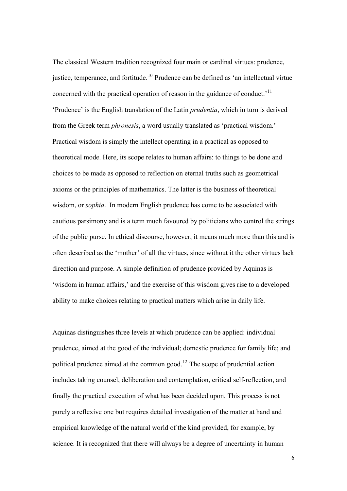The classical Western tradition recognized four main or cardinal virtues: prudence, justice, temperance, and fortitude.<sup>[10](#page-25-1)</sup> Prudence can be defined as 'an intellectual virtue concerned with the practical operation of reason in the guidance of conduct.<sup>'[11](#page-25-1)</sup> 'Prudence' is the English translation of the Latin *prudentia*, which in turn is derived from the Greek term *phronesis*, a word usually translated as 'practical wisdom.' Practical wisdom is simply the intellect operating in a practical as opposed to theoretical mode. Here, its scope relates to human affairs: to things to be done and choices to be made as opposed to reflection on eternal truths such as geometrical axioms or the principles of mathematics. The latter is the business of theoretical wisdom, or *sophia*. In modern English prudence has come to be associated with cautious parsimony and is a term much favoured by politicians who control the strings of the public purse. In ethical discourse, however, it means much more than this and is often described as the 'mother' of all the virtues, since without it the other virtues lack direction and purpose. A simple definition of prudence provided by Aquinas is 'wisdom in human affairs,' and the exercise of this wisdom gives rise to a developed ability to make choices relating to practical matters which arise in daily life.

Aquinas distinguishes three levels at which prudence can be applied: individual prudence, aimed at the good of the individual; domestic prudence for family life; and political prudence aimed at the common good.<sup>[12](#page-25-1)</sup> The scope of prudential action includes taking counsel, deliberation and contemplation, critical self-reflection, and finally the practical execution of what has been decided upon. This process is not purely a reflexive one but requires detailed investigation of the matter at hand and empirical knowledge of the natural world of the kind provided, for example, by science. It is recognized that there will always be a degree of uncertainty in human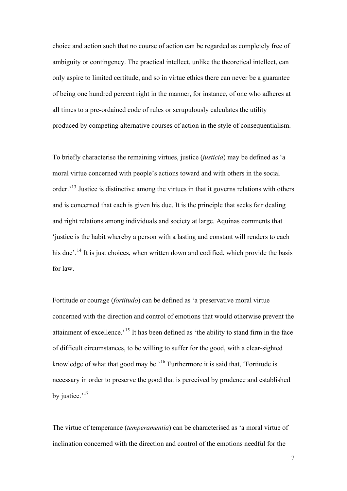choice and action such that no course of action can be regarded as completely free of ambiguity or contingency. The practical intellect, unlike the theoretical intellect, can only aspire to limited certitude, and so in virtue ethics there can never be a guarantee of being one hundred percent right in the manner, for instance, of one who adheres at all times to a pre-ordained code of rules or scrupulously calculates the utility produced by competing alternative courses of action in the style of consequentialism.

To briefly characterise the remaining virtues, justice (*justicia*) may be defined as 'a moral virtue concerned with people's actions toward and with others in the social order.<sup>[13](#page-25-1)</sup> Justice is distinctive among the virtues in that it governs relations with others and is concerned that each is given his due. It is the principle that seeks fair dealing and right relations among individuals and society at large. Aquinas comments that 'justice is the habit whereby a person with a lasting and constant will renders to each his due'.<sup>[14](#page-25-1)</sup> It is just choices, when written down and codified, which provide the basis for law.

Fortitude or courage (*fortitudo*) can be defined as 'a preservative moral virtue concerned with the direction and control of emotions that would otherwise prevent the attainment of excellence.'[15](#page-25-1) It has been defined as 'the ability to stand firm in the face of difficult circumstances, to be willing to suffer for the good, with a clear-sighted knowledge of what that good may be.<sup>[16](#page-25-1)</sup> Furthermore it is said that, 'Fortitude is necessary in order to preserve the good that is perceived by prudence and established by justice.<sup>'[17](#page-25-1)</sup>

The virtue of temperance (*temperamentia*) can be characterised as 'a moral virtue of inclination concerned with the direction and control of the emotions needful for the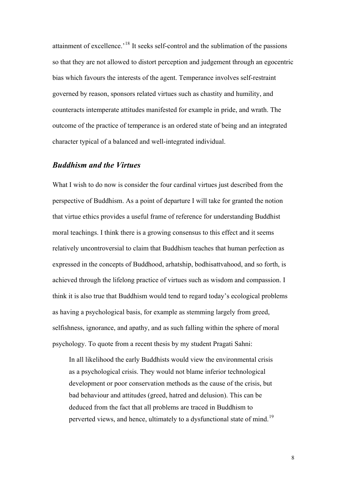attainment of excellence.'[18](#page-25-1) It seeks self-control and the sublimation of the passions so that they are not allowed to distort perception and judgement through an egocentric bias which favours the interests of the agent. Temperance involves self-restraint governed by reason, sponsors related virtues such as chastity and humility, and counteracts intemperate attitudes manifested for example in pride, and wrath. The outcome of the practice of temperance is an ordered state of being and an integrated character typical of a balanced and well-integrated individual.

### *Buddhism and the Virtues*

What I wish to do now is consider the four cardinal virtues just described from the perspective of Buddhism. As a point of departure I will take for granted the notion that virtue ethics provides a useful frame of reference for understanding Buddhist moral teachings. I think there is a growing consensus to this effect and it seems relatively uncontroversial to claim that Buddhism teaches that human perfection as expressed in the concepts of Buddhood, arhatship, bodhisattvahood, and so forth, is achieved through the lifelong practice of virtues such as wisdom and compassion. I think it is also true that Buddhism would tend to regard today's ecological problems as having a psychological basis, for example as stemming largely from greed, selfishness, ignorance, and apathy, and as such falling within the sphere of moral psychology. To quote from a recent thesis by my student Pragati Sahni:

In all likelihood the early Buddhists would view the environmental crisis as a psychological crisis. They would not blame inferior technological development or poor conservation methods as the cause of the crisis, but bad behaviour and attitudes (greed, hatred and delusion). This can be deduced from the fact that all problems are traced in Buddhism to perverted views, and hence, ultimately to a dysfunctional state of mind.<sup>[19](#page-25-1)</sup>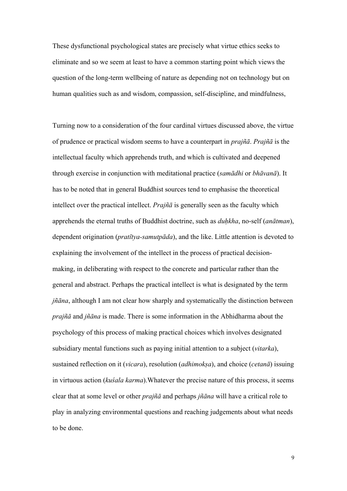These dysfunctional psychological states are precisely what virtue ethics seeks to eliminate and so we seem at least to have a common starting point which views the question of the long-term wellbeing of nature as depending not on technology but on human qualities such as and wisdom, compassion, self-discipline, and mindfulness,

Turning now to a consideration of the four cardinal virtues discussed above, the virtue of prudence or practical wisdom seems to have a counterpart in *prajñā*. *Prajñā* is the intellectual faculty which apprehends truth, and which is cultivated and deepened through exercise in conjunction with meditational practice (*samādhi* or *bhāvanā*). It has to be noted that in general Buddhist sources tend to emphasise the theoretical intellect over the practical intellect. *Prajñā* is generally seen as the faculty which apprehends the eternal truths of Buddhist doctrine, such as *duḥkha*, no-self (*anātman*), dependent origination (*pratītya-samutpāda*), and the like. Little attention is devoted to explaining the involvement of the intellect in the process of practical decisionmaking, in deliberating with respect to the concrete and particular rather than the general and abstract. Perhaps the practical intellect is what is designated by the term *jñāna*, although I am not clear how sharply and systematically the distinction between *prajñā* and *jñāna* is made. There is some information in the Abhidharma about the psychology of this process of making practical choices which involves designated subsidiary mental functions such as paying initial attention to a subject (*vitarka*), sustained reflection on it (*vicara*), resolution (*adhimokṣa*), and choice (*cetanā*) issuing in virtuous action (*kuśala karma*).Whatever the precise nature of this process, it seems clear that at some level or other *prajñā* and perhaps *jñāna* will have a critical role to play in analyzing environmental questions and reaching judgements about what needs to be done.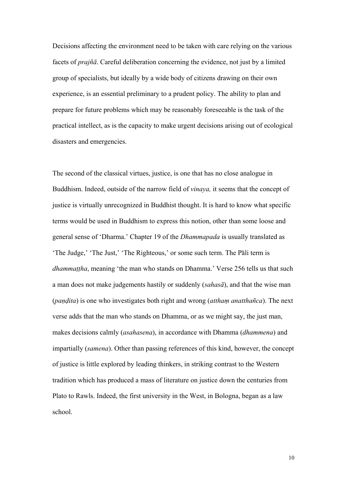Decisions affecting the environment need to be taken with care relying on the various facets of *prajñā*. Careful deliberation concerning the evidence, not just by a limited group of specialists, but ideally by a wide body of citizens drawing on their own experience, is an essential preliminary to a prudent policy. The ability to plan and prepare for future problems which may be reasonably foreseeable is the task of the practical intellect, as is the capacity to make urgent decisions arising out of ecological disasters and emergencies.

The second of the classical virtues, justice, is one that has no close analogue in Buddhism. Indeed, outside of the narrow field of *vinaya,* it seems that the concept of justice is virtually unrecognized in Buddhist thought. It is hard to know what specific terms would be used in Buddhism to express this notion, other than some loose and general sense of 'Dharma.' Chapter 19 of the *Dhammapada* is usually translated as 'The Judge,' 'The Just,' 'The Righteous,' or some such term. The Pāli term is *dhammaṭṭha*, meaning 'the man who stands on Dhamma.' Verse 256 tells us that such a man does not make judgements hastily or suddenly (*sahasā*), and that the wise man (*paṇḍita*) is one who investigates both right and wrong (*atthaṃ anatthañca*). The next verse adds that the man who stands on Dhamma, or as we might say, the just man, makes decisions calmly (*asahasena*), in accordance with Dhamma (*dhammena*) and impartially (*samena*). Other than passing references of this kind, however, the concept of justice is little explored by leading thinkers, in striking contrast to the Western tradition which has produced a mass of literature on justice down the centuries from Plato to Rawls. Indeed, the first university in the West, in Bologna, began as a law school.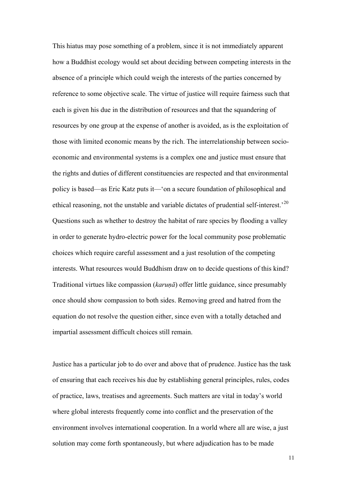This hiatus may pose something of a problem, since it is not immediately apparent how a Buddhist ecology would set about deciding between competing interests in the absence of a principle which could weigh the interests of the parties concerned by reference to some objective scale. The virtue of justice will require fairness such that each is given his due in the distribution of resources and that the squandering of resources by one group at the expense of another is avoided, as is the exploitation of those with limited economic means by the rich. The interrelationship between socioeconomic and environmental systems is a complex one and justice must ensure that the rights and duties of different constituencies are respected and that environmental policy is based—as Eric Katz puts it—'on a secure foundation of philosophical and ethical reasoning, not the unstable and variable dictates of prudential self-interest.<sup>[20](#page-25-1)</sup> Questions such as whether to destroy the habitat of rare species by flooding a valley in order to generate hydro-electric power for the local community pose problematic choices which require careful assessment and a just resolution of the competing interests. What resources would Buddhism draw on to decide questions of this kind? Traditional virtues like compassion (*karuṇā*) offer little guidance, since presumably once should show compassion to both sides. Removing greed and hatred from the equation do not resolve the question either, since even with a totally detached and impartial assessment difficult choices still remain.

Justice has a particular job to do over and above that of prudence. Justice has the task of ensuring that each receives his due by establishing general principles, rules, codes of practice, laws, treatises and agreements. Such matters are vital in today's world where global interests frequently come into conflict and the preservation of the environment involves international cooperation. In a world where all are wise, a just solution may come forth spontaneously, but where adjudication has to be made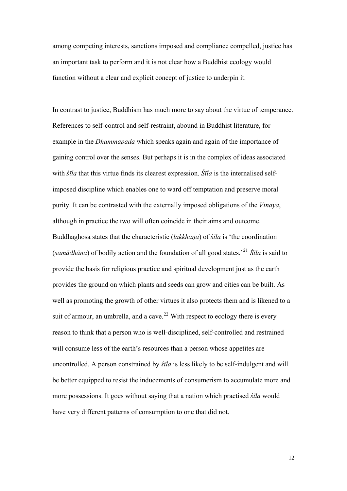among competing interests, sanctions imposed and compliance compelled, justice has an important task to perform and it is not clear how a Buddhist ecology would function without a clear and explicit concept of justice to underpin it.

In contrast to justice, Buddhism has much more to say about the virtue of temperance. References to self-control and self-restraint, abound in Buddhist literature, for example in the *Dhammapada* which speaks again and again of the importance of gaining control over the senses. But perhaps it is in the complex of ideas associated with *śīla* that this virtue finds its clearest expression. *Śīla* is the internalised selfimposed discipline which enables one to ward off temptation and preserve moral purity. It can be contrasted with the externally imposed obligations of the *Vinaya*, although in practice the two will often coincide in their aims and outcome. Buddhaghosa states that the characteristic (*lakkhaṇa*) of *śīla* is 'the coordination (*samādhāna*) of bodily action and the foundation of all good states.'[21](#page-25-1) *Śīla* is said to provide the basis for religious practice and spiritual development just as the earth provides the ground on which plants and seeds can grow and cities can be built. As well as promoting the growth of other virtues it also protects them and is likened to a suit of armour, an umbrella, and a cave.<sup>[22](#page-25-1)</sup> With respect to ecology there is every reason to think that a person who is well-disciplined, self-controlled and restrained will consume less of the earth's resources than a person whose appetites are uncontrolled. A person constrained by *śīla* is less likely to be self-indulgent and will be better equipped to resist the inducements of consumerism to accumulate more and more possessions. It goes without saying that a nation which practised *śīla* would have very different patterns of consumption to one that did not.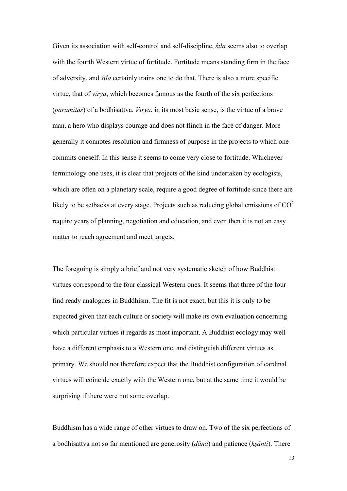Given its association with self-control and self-discipline, *śīla* seems also to overlap with the fourth Western virtue of fortitude. Fortitude means standing firm in the face of adversity, and *śīla* certainly trains one to do that. There is also a more specific virtue, that of *vīrya*, which becomes famous as the fourth of the six perfections (*pāramitās*) of a bodhisattva. *Vīrya*, in its most basic sense, is the virtue of a brave man, a hero who displays courage and does not flinch in the face of danger. More generally it connotes resolution and firmness of purpose in the projects to which one commits oneself. In this sense it seems to come very close to fortitude. Whichever terminology one uses, it is clear that projects of the kind undertaken by ecologists, which are often on a planetary scale, require a good degree of fortitude since there are likely to be setbacks at every stage. Projects such as reducing global emissions of  $CO<sup>2</sup>$ require years of planning, negotiation and education, and even then it is not an easy matter to reach agreement and meet targets.

The foregoing is simply a brief and not very systematic sketch of how Buddhist virtues correspond to the four classical Western ones. It seems that three of the four find ready analogues in Buddhism. The fit is not exact, but this it is only to be expected given that each culture or society will make its own evaluation concerning which particular virtues it regards as most important. A Buddhist ecology may well have a different emphasis to a Western one, and distinguish different virtues as primary. We should not therefore expect that the Buddhist configuration of cardinal virtues will coincide exactly with the Western one, but at the same time it would be surprising if there were not some overlap.

Buddhism has a wide range of other virtues to draw on. Two of the six perfections of a bodhisattva not so far mentioned are generosity (*dāna*) and patience (*kṣānti*). There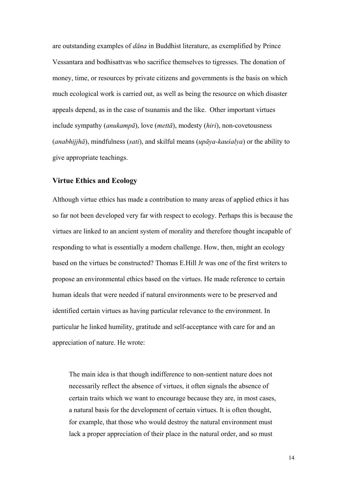are outstanding examples of *dāna* in Buddhist literature, as exemplified by Prince Vessantara and bodhisattvas who sacrifice themselves to tigresses. The donation of money, time, or resources by private citizens and governments is the basis on which much ecological work is carried out, as well as being the resource on which disaster appeals depend, as in the case of tsunamis and the like. Other important virtues include sympathy (*anukampā*), love (*mettā*), modesty (*hiri*), non-covetousness (*anabhijjhā*), mindfulness (*sati*), and skilful means (*upāya-kauśalya*) or the ability to give appropriate teachings.

#### **Virtue Ethics and Ecology**

Although virtue ethics has made a contribution to many areas of applied ethics it has so far not been developed very far with respect to ecology. Perhaps this is because the virtues are linked to an ancient system of morality and therefore thought incapable of responding to what is essentially a modern challenge. How, then, might an ecology based on the virtues be constructed? Thomas E.Hill Jr was one of the first writers to propose an environmental ethics based on the virtues. He made reference to certain human ideals that were needed if natural environments were to be preserved and identified certain virtues as having particular relevance to the environment. In particular he linked humility, gratitude and self-acceptance with care for and an appreciation of nature. He wrote:

The main idea is that though indifference to non-sentient nature does not necessarily reflect the absence of virtues, it often signals the absence of certain traits which we want to encourage because they are, in most cases, a natural basis for the development of certain virtues. It is often thought, for example, that those who would destroy the natural environment must lack a proper appreciation of their place in the natural order, and so must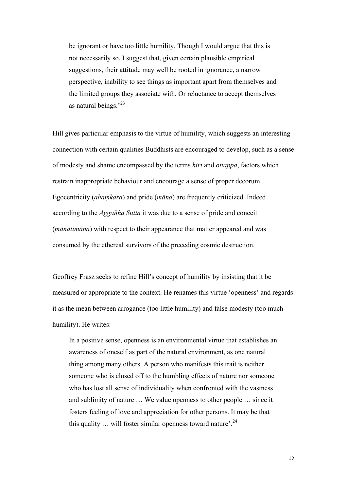be ignorant or have too little humility. Though I would argue that this is not necessarily so, I suggest that, given certain plausible empirical suggestions, their attitude may well be rooted in ignorance, a narrow perspective, inability to see things as important apart from themselves and the limited groups they associate with. Or reluctance to accept themselves as natural beings.'[23](#page-25-1)

Hill gives particular emphasis to the virtue of humility, which suggests an interesting connection with certain qualities Buddhists are encouraged to develop, such as a sense of modesty and shame encompassed by the terms *hiri* and *ottappa*, factors which restrain inappropriate behaviour and encourage a sense of proper decorum. Egocentricity (*ahaṃkara*) and pride (*māna*) are frequently criticized. Indeed according to the *Aggañña Sutta* it was due to a sense of pride and conceit (*mānātimāna*) with respect to their appearance that matter appeared and was consumed by the ethereal survivors of the preceding cosmic destruction.

Geoffrey Frasz seeks to refine Hill's concept of humility by insisting that it be measured or appropriate to the context. He renames this virtue 'openness' and regards it as the mean between arrogance (too little humility) and false modesty (too much humility). He writes:

In a positive sense, openness is an environmental virtue that establishes an awareness of oneself as part of the natural environment, as one natural thing among many others. A person who manifests this trait is neither someone who is closed off to the humbling effects of nature nor someone who has lost all sense of individuality when confronted with the vastness and sublimity of nature … We value openness to other people … since it fosters feeling of love and appreciation for other persons. It may be that this quality  $\ldots$  will foster similar openness toward nature'.<sup>[24](#page-25-1)</sup>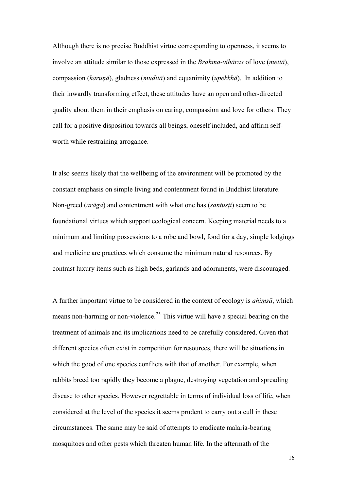Although there is no precise Buddhist virtue corresponding to openness, it seems to involve an attitude similar to those expressed in the *Brahma-vihāras* of love (*mettā*), compassion (*karuṇā*), gladness (*muditā*) and equanimity (*upekkhā*). In addition to their inwardly transforming effect, these attitudes have an open and other-directed quality about them in their emphasis on caring, compassion and love for others. They call for a positive disposition towards all beings, oneself included, and affirm selfworth while restraining arrogance.

It also seems likely that the wellbeing of the environment will be promoted by the constant emphasis on simple living and contentment found in Buddhist literature. Non-greed (*arāga*) and contentment with what one has (*santuṣṭi*) seem to be foundational virtues which support ecological concern. Keeping material needs to a minimum and limiting possessions to a robe and bowl, food for a day, simple lodgings and medicine are practices which consume the minimum natural resources. By contrast luxury items such as high beds, garlands and adornments, were discouraged.

A further important virtue to be considered in the context of ecology is *ahiṃsā*, which means non-harming or non-violence.<sup>[25](#page-25-1)</sup> This virtue will have a special bearing on the treatment of animals and its implications need to be carefully considered. Given that different species often exist in competition for resources, there will be situations in which the good of one species conflicts with that of another. For example, when rabbits breed too rapidly they become a plague, destroying vegetation and spreading disease to other species. However regrettable in terms of individual loss of life, when considered at the level of the species it seems prudent to carry out a cull in these circumstances. The same may be said of attempts to eradicate malaria-bearing mosquitoes and other pests which threaten human life. In the aftermath of the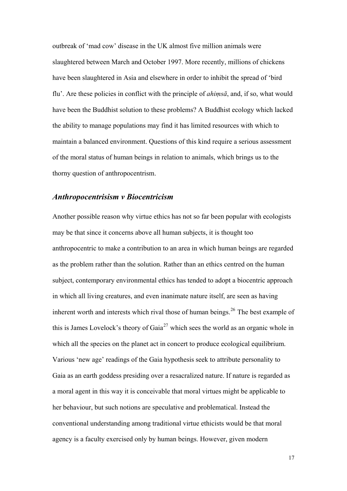outbreak of 'mad cow' disease in the UK almost five million animals were slaughtered between March and October 1997. More recently, millions of chickens have been slaughtered in Asia and elsewhere in order to inhibit the spread of 'bird flu'. Are these policies in conflict with the principle of *ahiṃsā*, and, if so, what would have been the Buddhist solution to these problems? A Buddhist ecology which lacked the ability to manage populations may find it has limited resources with which to maintain a balanced environment. Questions of this kind require a serious assessment of the moral status of human beings in relation to animals, which brings us to the thorny question of anthropocentrism.

#### *Anthropocentrisism v Biocentricism*

Another possible reason why virtue ethics has not so far been popular with ecologists may be that since it concerns above all human subjects, it is thought too anthropocentric to make a contribution to an area in which human beings are regarded as the problem rather than the solution. Rather than an ethics centred on the human subject, contemporary environmental ethics has tended to adopt a biocentric approach in which all living creatures, and even inanimate nature itself, are seen as having inherent worth and interests which rival those of human beings.<sup>[26](#page-25-1)</sup> The best example of this is James Lovelock's theory of Gaia<sup>[27](#page-25-1)</sup> which sees the world as an organic whole in which all the species on the planet act in concert to produce ecological equilibrium. Various 'new age' readings of the Gaia hypothesis seek to attribute personality to Gaia as an earth goddess presiding over a resacralized nature. If nature is regarded as a moral agent in this way it is conceivable that moral virtues might be applicable to her behaviour, but such notions are speculative and problematical. Instead the conventional understanding among traditional virtue ethicists would be that moral agency is a faculty exercised only by human beings. However, given modern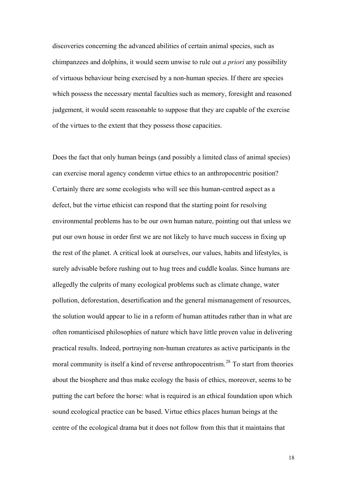discoveries concerning the advanced abilities of certain animal species, such as chimpanzees and dolphins, it would seem unwise to rule out *a priori* any possibility of virtuous behaviour being exercised by a non-human species. If there are species which possess the necessary mental faculties such as memory, foresight and reasoned judgement, it would seem reasonable to suppose that they are capable of the exercise of the virtues to the extent that they possess those capacities.

Does the fact that only human beings (and possibly a limited class of animal species) can exercise moral agency condemn virtue ethics to an anthropocentric position? Certainly there are some ecologists who will see this human-centred aspect as a defect, but the virtue ethicist can respond that the starting point for resolving environmental problems has to be our own human nature, pointing out that unless we put our own house in order first we are not likely to have much success in fixing up the rest of the planet. A critical look at ourselves, our values, habits and lifestyles, is surely advisable before rushing out to hug trees and cuddle koalas. Since humans are allegedly the culprits of many ecological problems such as climate change, water pollution, deforestation, desertification and the general mismanagement of resources, the solution would appear to lie in a reform of human attitudes rather than in what are often romanticised philosophies of nature which have little proven value in delivering practical results. Indeed, portraying non-human creatures as active participants in the moral community is itself a kind of reverse anthropocentrism.<sup>[28](#page-25-1)</sup> To start from theories about the biosphere and thus make ecology the basis of ethics, moreover, seems to be putting the cart before the horse: what is required is an ethical foundation upon which sound ecological practice can be based. Virtue ethics places human beings at the centre of the ecological drama but it does not follow from this that it maintains that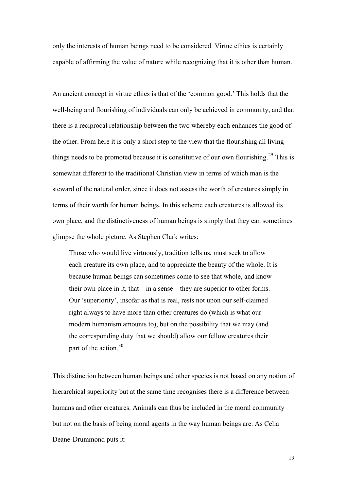only the interests of human beings need to be considered. Virtue ethics is certainly capable of affirming the value of nature while recognizing that it is other than human.

An ancient concept in virtue ethics is that of the 'common good.' This holds that the well-being and flourishing of individuals can only be achieved in community, and that there is a reciprocal relationship between the two whereby each enhances the good of the other. From here it is only a short step to the view that the flourishing all living things needs to be promoted because it is constitutive of our own flourishing.<sup>[29](#page-25-1)</sup> This is somewhat different to the traditional Christian view in terms of which man is the steward of the natural order, since it does not assess the worth of creatures simply in terms of their worth for human beings. In this scheme each creatures is allowed its own place, and the distinctiveness of human beings is simply that they can sometimes glimpse the whole picture. As Stephen Clark writes:

Those who would live virtuously, tradition tells us, must seek to allow each creature its own place, and to appreciate the beauty of the whole. It is because human beings can sometimes come to see that whole, and know their own place in it, that—in a sense—they are superior to other forms. Our 'superiority', insofar as that is real, rests not upon our self-claimed right always to have more than other creatures do (which is what our modern humanism amounts to), but on the possibility that we may (and the corresponding duty that we should) allow our fellow creatures their part of the action.<sup>[30](#page-25-1)</sup>

This distinction between human beings and other species is not based on any notion of hierarchical superiority but at the same time recognises there is a difference between humans and other creatures. Animals can thus be included in the moral community but not on the basis of being moral agents in the way human beings are. As Celia Deane-Drummond puts it: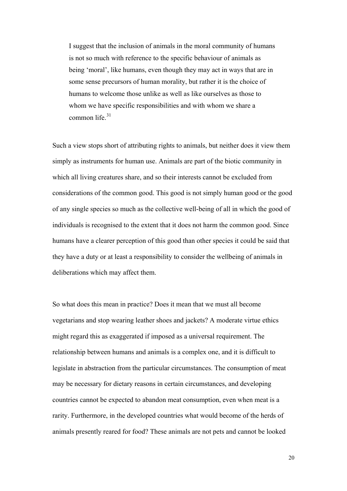I suggest that the inclusion of animals in the moral community of humans is not so much with reference to the specific behaviour of animals as being 'moral', like humans, even though they may act in ways that are in some sense precursors of human morality, but rather it is the choice of humans to welcome those unlike as well as like ourselves as those to whom we have specific responsibilities and with whom we share a common life.<sup>[31](#page-25-1)</sup>

Such a view stops short of attributing rights to animals, but neither does it view them simply as instruments for human use. Animals are part of the biotic community in which all living creatures share, and so their interests cannot be excluded from considerations of the common good. This good is not simply human good or the good of any single species so much as the collective well-being of all in which the good of individuals is recognised to the extent that it does not harm the common good. Since humans have a clearer perception of this good than other species it could be said that they have a duty or at least a responsibility to consider the wellbeing of animals in deliberations which may affect them.

So what does this mean in practice? Does it mean that we must all become vegetarians and stop wearing leather shoes and jackets? A moderate virtue ethics might regard this as exaggerated if imposed as a universal requirement. The relationship between humans and animals is a complex one, and it is difficult to legislate in abstraction from the particular circumstances. The consumption of meat may be necessary for dietary reasons in certain circumstances, and developing countries cannot be expected to abandon meat consumption, even when meat is a rarity. Furthermore, in the developed countries what would become of the herds of animals presently reared for food? These animals are not pets and cannot be looked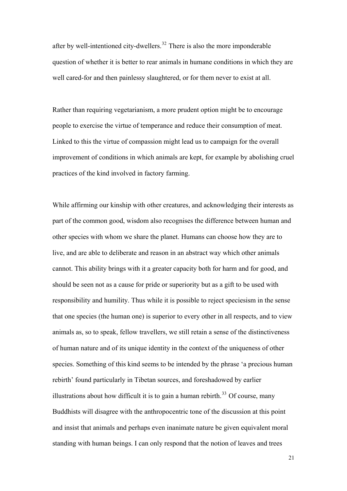after by well-intentioned city-dwellers.<sup>[32](#page-25-1)</sup> There is also the more imponderable question of whether it is better to rear animals in humane conditions in which they are well cared-for and then painlessy slaughtered, or for them never to exist at all.

Rather than requiring vegetarianism, a more prudent option might be to encourage people to exercise the virtue of temperance and reduce their consumption of meat. Linked to this the virtue of compassion might lead us to campaign for the overall improvement of conditions in which animals are kept, for example by abolishing cruel practices of the kind involved in factory farming.

While affirming our kinship with other creatures, and acknowledging their interests as part of the common good, wisdom also recognises the difference between human and other species with whom we share the planet. Humans can choose how they are to live, and are able to deliberate and reason in an abstract way which other animals cannot. This ability brings with it a greater capacity both for harm and for good, and should be seen not as a cause for pride or superiority but as a gift to be used with responsibility and humility. Thus while it is possible to reject speciesism in the sense that one species (the human one) is superior to every other in all respects, and to view animals as, so to speak, fellow travellers, we still retain a sense of the distinctiveness of human nature and of its unique identity in the context of the uniqueness of other species. Something of this kind seems to be intended by the phrase 'a precious human rebirth' found particularly in Tibetan sources, and foreshadowed by earlier illustrations about how difficult it is to gain a human rebirth.<sup>[33](#page-25-1)</sup> Of course, many Buddhists will disagree with the anthropocentric tone of the discussion at this point and insist that animals and perhaps even inanimate nature be given equivalent moral standing with human beings. I can only respond that the notion of leaves and trees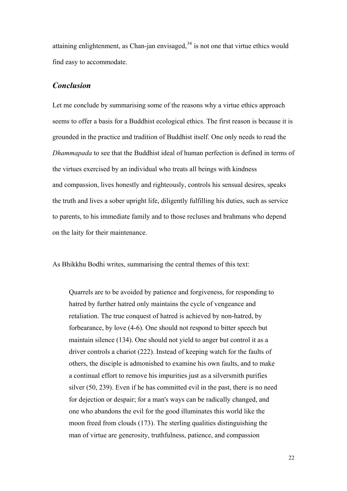attaining enlightenment, as Chan-jan envisaged,  $34$  is not one that virtue ethics would find easy to accommodate.

#### *Conclusion*

Let me conclude by summarising some of the reasons why a virtue ethics approach seems to offer a basis for a Buddhist ecological ethics. The first reason is because it is grounded in the practice and tradition of Buddhist itself. One only needs to read the *Dhammapada* to see that the Buddhist ideal of human perfection is defined in terms of the virtues exercised by an individual who treats all beings with kindness and compassion, lives honestly and righteously, controls his sensual desires, speaks the truth and lives a sober upright life, diligently fulfilling his duties, such as service to parents, to his immediate family and to those recluses and brahmans who depend on the laity for their maintenance.

As Bhikkhu Bodhi writes, summarising the central themes of this text:

Quarrels are to be avoided by patience and forgiveness, for responding to hatred by further hatred only maintains the cycle of vengeance and retaliation. The true conquest of hatred is achieved by non-hatred, by forbearance, by love (4-6). One should not respond to bitter speech but maintain silence (134). One should not yield to anger but control it as a driver controls a chariot (222). Instead of keeping watch for the faults of others, the disciple is admonished to examine his own faults, and to make a continual effort to remove his impurities just as a silversmith purifies silver (50, 239). Even if he has committed evil in the past, there is no need for dejection or despair; for a man's ways can be radically changed, and one who abandons the evil for the good illuminates this world like the moon freed from clouds (173). The sterling qualities distinguishing the man of virtue are generosity, truthfulness, patience, and compassion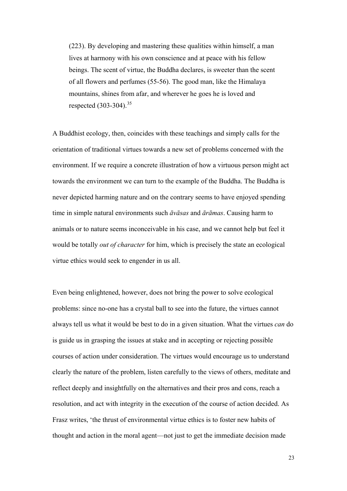(223). By developing and mastering these qualities within himself, a man lives at harmony with his own conscience and at peace with his fellow beings. The scent of virtue, the Buddha declares, is sweeter than the scent of all flowers and perfumes (55-56). The good man, like the Himalaya mountains, shines from afar, and wherever he goes he is loved and respected (303-304).<sup>[35](#page-25-1)</sup>

A Buddhist ecology, then, coincides with these teachings and simply calls for the orientation of traditional virtues towards a new set of problems concerned with the environment. If we require a concrete illustration of how a virtuous person might act towards the environment we can turn to the example of the Buddha. The Buddha is never depicted harming nature and on the contrary seems to have enjoyed spending time in simple natural environments such *āvāsas* and *ārāmas*. Causing harm to animals or to nature seems inconceivable in his case, and we cannot help but feel it would be totally *out of character* for him, which is precisely the state an ecological virtue ethics would seek to engender in us all.

Even being enlightened, however, does not bring the power to solve ecological problems: since no-one has a crystal ball to see into the future, the virtues cannot always tell us what it would be best to do in a given situation. What the virtues *can* do is guide us in grasping the issues at stake and in accepting or rejecting possible courses of action under consideration. The virtues would encourage us to understand clearly the nature of the problem, listen carefully to the views of others, meditate and reflect deeply and insightfully on the alternatives and their pros and cons, reach a resolution, and act with integrity in the execution of the course of action decided. As Frasz writes, 'the thrust of environmental virtue ethics is to foster new habits of thought and action in the moral agent—not just to get the immediate decision made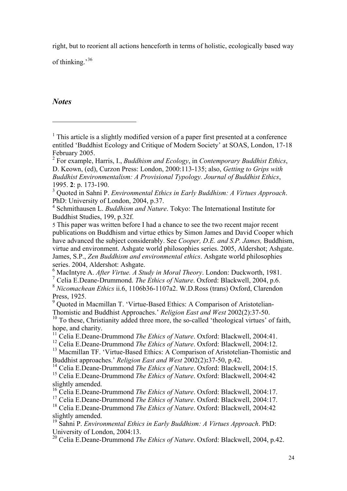right, but to reorient all actions henceforth in terms of holistic, ecologically based way

of thinking.'[36](#page-25-1)

## *Notes*

<u>.</u>

11 Celia E.Deane-Drummond *The Ethics of Nature*. Oxford: Blackwell, 2004:41.

<sup>12</sup> Celia E.Deane-Drummond *The Ethics of Nature*. Oxford: Blackwell, 2004:12.

<sup>13</sup> Macmillan TF. 'Virtue-Based Ethics: A Comparison of Aristotelian-Thomistic and Buddhist approaches.' *Religion East and West* 2002(2)**:**37-50, p.42.

14 Celia E.Deane-Drummond *The Ethics of Nature*. Oxford: Blackwell, 2004:15.

15 Celia E.Deane-Drummond *The Ethics of Nature*. Oxford: Blackwell, 2004:42 slightly amended.

16 Celia E.Deane-Drummond *The Ethics of Nature*. Oxford: Blackwell, 2004:17.

17 Celia E.Deane-Drummond *The Ethics of Nature*. Oxford: Blackwell, 2004:17.

18 Celia E.Deane-Drummond *The Ethics of Nature*. Oxford: Blackwell, 2004:42 slightly amended.

19 Sahni P. *Environmental Ethics in Early Buddhism: A Virtues Approach*. PhD: University of London, 2004:13.

20 Celia E.Deane-Drummond *The Ethics of Nature*. Oxford: Blackwell, 2004, p.42.

<sup>&</sup>lt;sup>1</sup> This article is a slightly modified version of a paper first presented at a conference entitled 'Buddhist Ecology and Critique of Modern Society' at SOAS, London, 17-18 February 2005.

<sup>2</sup> For example, Harris, I., *Buddhism and Ecology*, in *Contemporary Buddhist Ethics*, D. Keown, (ed), Curzon Press: London, 2000:113-135; also, *Getting to Grips with Buddhist Environmentalism: A Provisional Typology. Journal of Buddhist Ethics*, 1995. **2**: p. 173-190.

<sup>3</sup> Quoted in Sahni P. *Environmental Ethics in Early Buddhism: A Virtues Approach*. PhD: University of London, 2004, p.37.

<sup>4</sup> Schmithausen L. *Buddhism and Nature*. Tokyo: The International Institute for Buddhist Studies, 199, p.32f.

<sup>5</sup> This paper was written before I had a chance to see the two recent major recent publications on Buddhism and virtue ethics by Simon James and David Cooper which have advanced the subject considerably. See *Cooper, D.E. and S.P. James,* Buddhism, virtue and environment. Ashgate world philosophies series. 2005, Aldershot; Ashgate. James, S.P., *Zen Buddhism and environmental ethics*. Ashgate world philosophies series. 2004, Aldershot: Ashgate.

<sup>6</sup> MacIntyre A. *After Virtue. A Study in Moral Theory*. London: Duckworth, 1981.

<sup>7</sup> Celia E.Deane-Drummond. *The Ethics of Nature*. Oxford: Blackwell, 2004, p.6.

<sup>8</sup> *Nicomachean Ethics* ii.6, 1106b36-1107a2. W.D.Ross (trans) Oxford, Clarendon Press, 1925.

<sup>&</sup>lt;sup>9</sup> Quoted in Macmillan T. 'Virtue-Based Ethics: A Comparison of Aristotelian-

Thomistic and Buddhist Approaches.' *Religion East and West* 2002(2):37-50. 10 To these, Christianity added three more, the so-called 'theological virtues' of faith, hope, and charity.